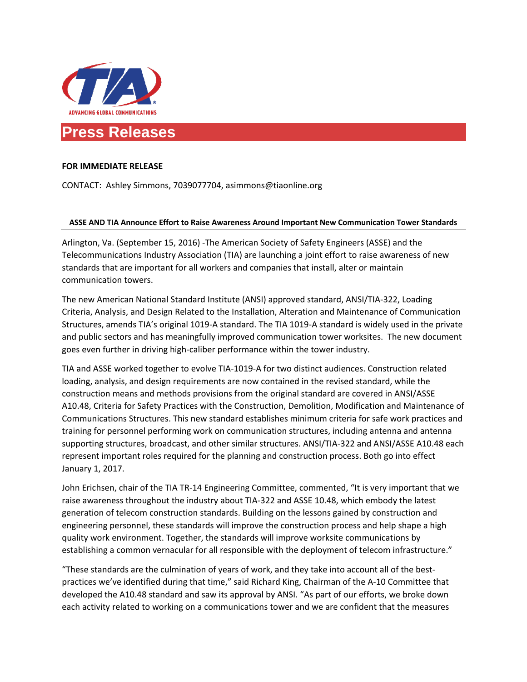

# **Press Releases**

# **FOR IMMEDIATE RELEASE**

CONTACT: Ashley Simmons, 7039077704, asimmons@tiaonline.org

### **ASSE AND TIA Announce Effort to Raise Awareness Around Important New Communication Tower Standards**

Arlington, Va. (September 15, 2016) -The American Society of Safety Engineers (ASSE) and the Telecommunications Industry Association (TIA) are launching a joint effort to raise awareness of new standards that are important for all workers and companies that install, alter or maintain communication towers.

The new American National Standard Institute (ANSI) approved standard, ANSI/TIA-322, Loading Criteria, Analysis, and Design Related to the Installation, Alteration and Maintenance of Communication Structures, amends TIA's original 1019-A standard. The TIA 1019-A standard is widely used in the private and public sectors and has meaningfully improved communication tower worksites. The new document goes even further in driving high-caliber performance within the tower industry.

TIA and ASSE worked together to evolve TIA-1019-A for two distinct audiences. Construction related loading, analysis, and design requirements are now contained in the revised standard, while the construction means and methods provisions from the original standard are covered in ANSI/ASSE A10.48, Criteria for Safety Practices with the Construction, Demolition, Modification and Maintenance of Communications Structures. This new standard establishes minimum criteria for safe work practices and training for personnel performing work on communication structures, including antenna and antenna supporting structures, broadcast, and other similar structures. ANSI/TIA-322 and ANSI/ASSE A10.48 each represent important roles required for the planning and construction process. Both go into effect January 1, 2017.

John Erichsen, chair of the TIA TR-14 Engineering Committee, commented, "It is very important that we raise awareness throughout the industry about TIA-322 and ASSE 10.48, which embody the latest generation of telecom construction standards. Building on the lessons gained by construction and engineering personnel, these standards will improve the construction process and help shape a high quality work environment. Together, the standards will improve worksite communications by establishing a common vernacular for all responsible with the deployment of telecom infrastructure."

"These standards are the culmination of years of work, and they take into account all of the bestpractices we've identified during that time," said Richard King, Chairman of the A-10 Committee that developed the A10.48 standard and saw its approval by ANSI. "As part of our efforts, we broke down each activity related to working on a communications tower and we are confident that the measures